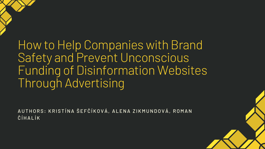How to Help Companies with Brand Safety and Prevent Unconscious Funding of Disinformation Websites Through Advertising

AUTHORS: KRISTÍNA ŠEFČÍKOVÁ, ALENA ZIKMUNDOVÁ, ROMAN ČÍHALÍK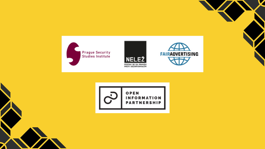

Z



OPEN

**INFORMATION<br>PARTNERSHIP** 

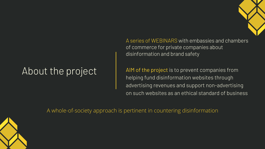AIM of the project is to prevent companies from helping fund disinformation websites through advertising revenues and support non-advertising on such websites as an ethical standard of business

A series of WEBINARS with embassies and chambers of commerce for private companies about disinformation and brand safety

# About the project

A whole-of-society approach is pertinent in countering disinformation



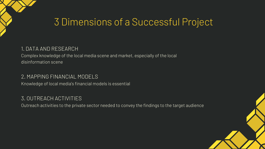# 3 Dimensions of a Successful Project

#### 1. DATA AND RESEARCH

Complex knowledge of the local media scene and market, especially of the local disinformation scene

#### 2. MAPPING FINANCIAL MODELS

Knowledge of local media's financial models is essential

#### 3. OUTREACH ACTIVITIES

Outreach activities to the private sector needed to convey the findings to the target audience

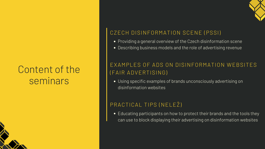### CZECH DISINFORMATION SCENE (PSSI)

- 
- 

### EXAMPLES OF ADS ON DISINFORMATION WEBSITES (FAIR ADVERTISING)

### PRACTICAL TIPS (NELEŽ)



Providing a general overview of the Czech disinformation scene Describing business models and the role of advertising revenue

• Educating participants on how to protect their brands and the tools they can use to block displaying their advertising on disinformation websites

Using specific examples of brands unconsciously advertising on

disinformation websites

## Content of the seminars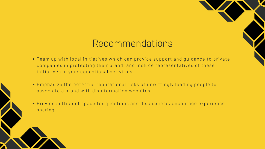## Recommendations

- Team up with local initiatives which can provide support and guidance to private companies in protecting their brand, and include representatives of these initiatives in your educational activities
- Emphasize the potential reputational risks of unwittingly leading people to associate a brand with disinformation websites
- Provide sufficient space for questions and discussions, encourage experience sharing